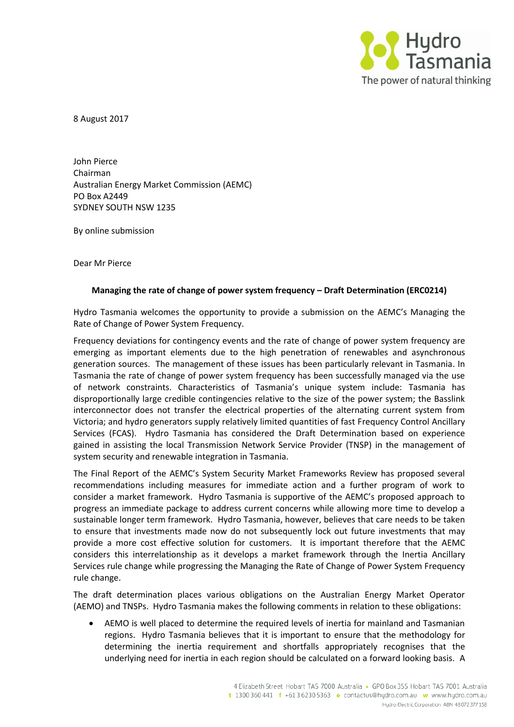

8 August 2017

John Pierce Chairman Australian Energy Market Commission (AEMC) PO Box A2449 SYDNEY SOUTH NSW 1235

By online submission

Dear Mr Pierce

## **Managing the rate of change of power system frequency – Draft Determination (ERC0214)**

Hydro Tasmania welcomes the opportunity to provide a submission on the AEMC's Managing the Rate of Change of Power System Frequency.

Frequency deviations for contingency events and the rate of change of power system frequency are emerging as important elements due to the high penetration of renewables and asynchronous generation sources. The management of these issues has been particularly relevant in Tasmania. In Tasmania the rate of change of power system frequency has been successfully managed via the use of network constraints. Characteristics of Tasmania's unique system include: Tasmania has disproportionally large credible contingencies relative to the size of the power system; the Basslink interconnector does not transfer the electrical properties of the alternating current system from Victoria; and hydro generators supply relatively limited quantities of fast Frequency Control Ancillary Services (FCAS). Hydro Tasmania has considered the Draft Determination based on experience gained in assisting the local Transmission Network Service Provider (TNSP) in the management of system security and renewable integration in Tasmania.

The Final Report of the AEMC's System Security Market Frameworks Review has proposed several recommendations including measures for immediate action and a further program of work to consider a market framework. Hydro Tasmania is supportive of the AEMC's proposed approach to progress an immediate package to address current concerns while allowing more time to develop a sustainable longer term framework. Hydro Tasmania, however, believes that care needs to be taken to ensure that investments made now do not subsequently lock out future investments that may provide a more cost effective solution for customers. It is important therefore that the AEMC considers this interrelationship as it develops a market framework through the Inertia Ancillary Services rule change while progressing the Managing the Rate of Change of Power System Frequency rule change.

The draft determination places various obligations on the Australian Energy Market Operator (AEMO) and TNSPs. Hydro Tasmania makes the following comments in relation to these obligations:

 AEMO is well placed to determine the required levels of inertia for mainland and Tasmanian regions. Hydro Tasmania believes that it is important to ensure that the methodology for determining the inertia requirement and shortfalls appropriately recognises that the underlying need for inertia in each region should be calculated on a forward looking basis. A